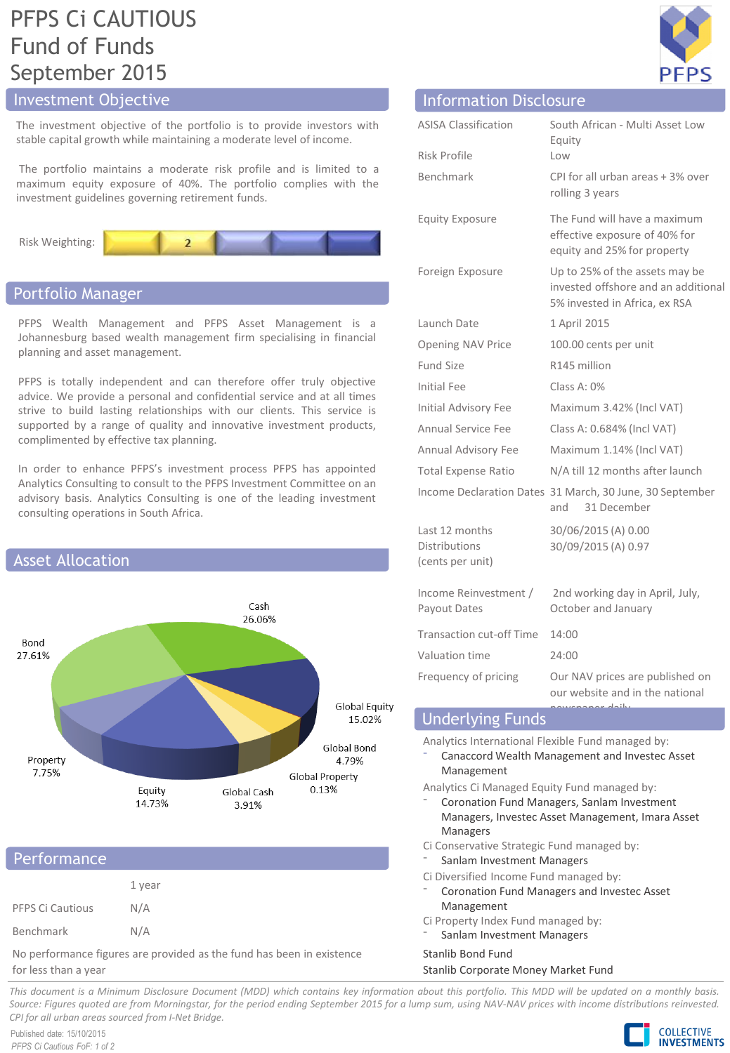# PFPS Ci CAUTIOUS Fund of Funds September 2015

# Investment Objective

The investment objective of the portfolio is to provide investors with stable capital growth while maintaining a moderate level of income.

The portfolio maintains a moderate risk profile and is limited to a maximum equity exposure of 40%. The portfolio complies with the investment guidelines governing retirement funds.



# Portfolio Manager

PFPS Wealth Management and PFPS Asset Management is a Johannesburg based wealth management firm specialising in financial planning and asset management.

PFPS is totally independent and can therefore offer truly objective advice. We provide a personal and confidential service and at all times strive to build lasting relationships with our clients. This service is supported by a range of quality and innovative investment products, complimented by effective tax planning.

In order to enhance PFPS's investment process PFPS has appointed Analytics Consulting to consult to the PFPS Investment Committee on an advisory basis. Analytics Consulting is one of the leading investment consulting operations in South Africa.



# **Performance**

|                  | 1 year |
|------------------|--------|
| PFPS Ci Cautious | N/A    |
| Benchmark        | N/A    |

No performance figures are provided as the fund has been in existence for less than a year

| <b>Illioninacion</b> Pisclosal C                           |                                                                                                        |
|------------------------------------------------------------|--------------------------------------------------------------------------------------------------------|
| <b>ASISA Classification</b>                                | South African - Multi Asset Low<br>Equity                                                              |
| Risk Profile                                               | Low                                                                                                    |
| <b>Benchmark</b>                                           | CPI for all urban areas + 3% over<br>rolling 3 years                                                   |
| <b>Equity Exposure</b>                                     | The Fund will have a maximum<br>effective exposure of 40% for<br>equity and 25% for property           |
| Foreign Exposure                                           | Up to 25% of the assets may be<br>invested offshore and an additional<br>5% invested in Africa, ex RSA |
| Launch Date                                                | 1 April 2015                                                                                           |
| Opening NAV Price                                          | 100.00 cents per unit                                                                                  |
| <b>Fund Size</b>                                           | R145 million                                                                                           |
| Initial Fee                                                | Class A: 0%                                                                                            |
| Initial Advisory Fee                                       | Maximum 3.42% (Incl VAT)                                                                               |
| Annual Service Fee                                         | Class A: 0.684% (Incl VAT)                                                                             |
| Annual Advisory Fee                                        | Maximum 1.14% (Incl VAT)                                                                               |
| <b>Total Expense Ratio</b>                                 | N/A till 12 months after launch                                                                        |
|                                                            | Income Declaration Dates 31 March, 30 June, 30 September<br>31 December<br>and                         |
| Last 12 months<br><b>Distributions</b><br>(cents per unit) | 30/06/2015 (A) 0.00<br>30/09/2015 (A) 0.97                                                             |
| Income Reinvestment /<br>Payout Dates                      | 2nd working day in April, July,<br>October and January                                                 |
| <b>Transaction cut-off Time</b>                            | 14:00                                                                                                  |
| Valuation time                                             | 24:00                                                                                                  |
| Frequency of pricing                                       | Our NAV prices are published on<br>our website and in the national<br>بأشداء                           |
|                                                            |                                                                                                        |

Information Disclosure

# Underlying Funds

Analytics International Flexible Fund managed by:

- ⁻ Canaccord Wealth Management and Investec Asset Management
- Analytics Ci Managed Equity Fund managed by: ⁻ Coronation Fund Managers, Sanlam Investment
	- Managers, Investec Asset Management, Imara Asset Managers
- Ci Conservative Strategic Fund managed by:
- Sanlam Investment Managers
- Ci Diversified Income Fund managed by:
- ⁻ Coronation Fund Managers and Investec Asset Management
- Ci Property Index Fund managed by:
	- Sanlam Investment Managers

# Stanlib Bond Fund

# Stanlib Corporate Money Market Fund

This document is a Minimum Disclosure Document (MDD) which contains key information about this portfolio. This MDD will be updated on a monthly basis. Source: Figures guoted are from Morningstar, for the period ending September 2015 for a lump sum, using NAV-NAV prices with income distributions reinvested. *CPI for all urban areas sourced from I-Net Bridge.*

Published date: 15/10/2015 *PFPS Ci Cautious FoF: 1 of 2*